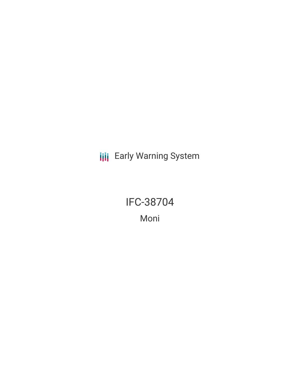**III** Early Warning System

IFC-38704 Moni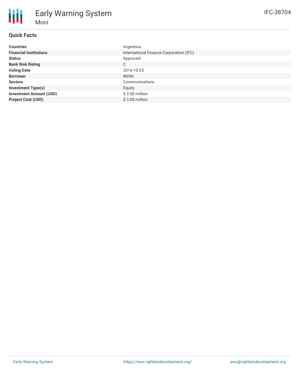## **Quick Facts**

Moni

Early Warning System

| <b>Countries</b>               | Argentina                               |
|--------------------------------|-----------------------------------------|
| <b>Financial Institutions</b>  | International Finance Corporation (IFC) |
| <b>Status</b>                  | Approved                                |
| <b>Bank Risk Rating</b>        | C                                       |
| <b>Voting Date</b>             | 2016-10-25                              |
| <b>Borrower</b>                | <b>MONI</b>                             |
| <b>Sectors</b>                 | Communications                          |
| <b>Investment Type(s)</b>      | Equity                                  |
| <b>Investment Amount (USD)</b> | \$3.00 million                          |
| <b>Project Cost (USD)</b>      | $$3.00$ million                         |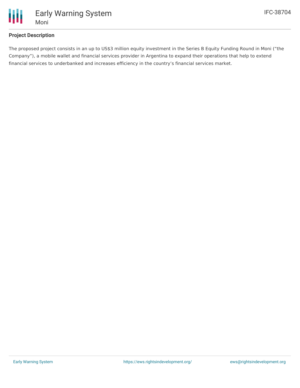

Early Warning System

## **Project Description**

The proposed project consists in an up to US\$3 million equity investment in the Series B Equity Funding Round in Moni ("the Company"), a mobile wallet and financial services provider in Argentina to expand their operations that help to extend financial services to underbanked and increases efficiency in the country's financial services market.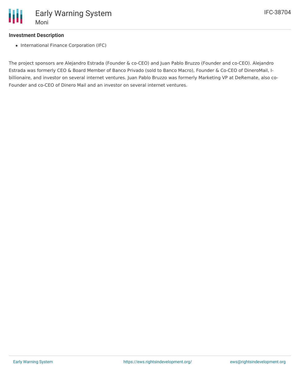# **Investment Description**

• International Finance Corporation (IFC)

The project sponsors are Alejandro Estrada (Founder & co-CEO) and Juan Pablo Bruzzo (Founder and co-CEO). Alejandro Estrada was formerly CEO & Board Member of Banco Privado (sold to Banco Macro), Founder & Co-CEO of DineroMail, Ibillionaire, and investor on several internet ventures. Juan Pablo Bruzzo was formerly Marketing VP at DeRemate, also co-Founder and co-CEO of Dinero Mail and an investor on several internet ventures.